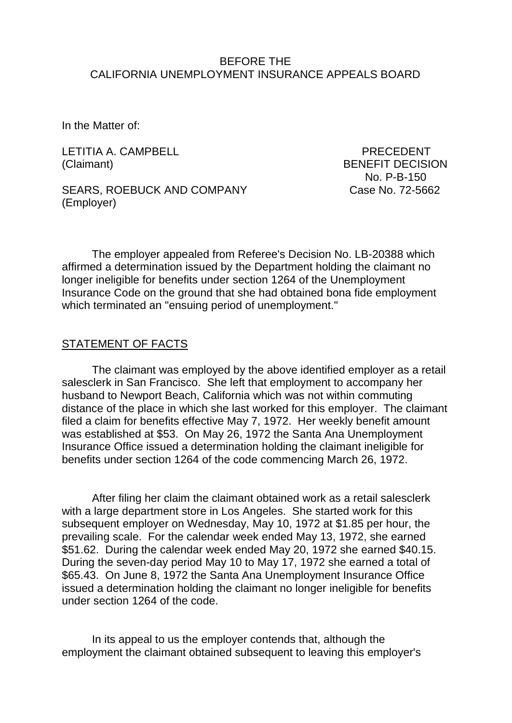### BEFORE THE CALIFORNIA UNEMPLOYMENT INSURANCE APPEALS BOARD

In the Matter of:

LETITIA A. CAMPBELL **Example 19 and 20 and 20 and 20 and 20 and 20 and 20 and 20 and 20 and 20 and 20 and 20 and 20 and 20 and 20 and 20 and 20 and 20 and 20 and 20 and 20 and 20 and 20 and 20 and 20 and 20 and 20 and 20 a** (Claimant) BENEFIT DECISION

No. P-B-150

SEARS, ROEBUCK AND COMPANY Case No. 72-5662 (Employer)

The employer appealed from Referee's Decision No. LB-20388 which affirmed a determination issued by the Department holding the claimant no longer ineligible for benefits under section 1264 of the Unemployment Insurance Code on the ground that she had obtained bona fide employment which terminated an "ensuing period of unemployment."

### STATEMENT OF FACTS

The claimant was employed by the above identified employer as a retail salesclerk in San Francisco. She left that employment to accompany her husband to Newport Beach, California which was not within commuting distance of the place in which she last worked for this employer. The claimant filed a claim for benefits effective May 7, 1972. Her weekly benefit amount was established at \$53. On May 26, 1972 the Santa Ana Unemployment Insurance Office issued a determination holding the claimant ineligible for benefits under section 1264 of the code commencing March 26, 1972.

After filing her claim the claimant obtained work as a retail salesclerk with a large department store in Los Angeles. She started work for this subsequent employer on Wednesday, May 10, 1972 at \$1.85 per hour, the prevailing scale. For the calendar week ended May 13, 1972, she earned \$51.62. During the calendar week ended May 20, 1972 she earned \$40.15. During the seven-day period May 10 to May 17, 1972 she earned a total of \$65.43. On June 8, 1972 the Santa Ana Unemployment Insurance Office issued a determination holding the claimant no longer ineligible for benefits under section 1264 of the code.

In its appeal to us the employer contends that, although the employment the claimant obtained subsequent to leaving this employer's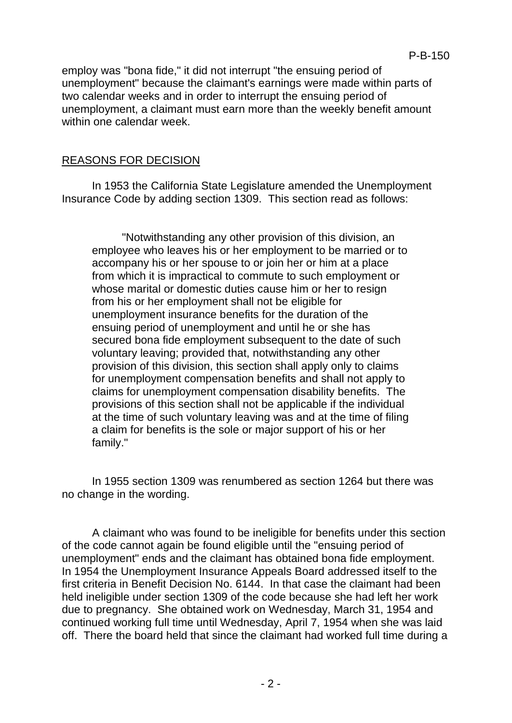employ was "bona fide," it did not interrupt "the ensuing period of unemployment" because the claimant's earnings were made within parts of two calendar weeks and in order to interrupt the ensuing period of unemployment, a claimant must earn more than the weekly benefit amount within one calendar week.

# REASONS FOR DECISION

In 1953 the California State Legislature amended the Unemployment Insurance Code by adding section 1309. This section read as follows:

"Notwithstanding any other provision of this division, an employee who leaves his or her employment to be married or to accompany his or her spouse to or join her or him at a place from which it is impractical to commute to such employment or whose marital or domestic duties cause him or her to resign from his or her employment shall not be eligible for unemployment insurance benefits for the duration of the ensuing period of unemployment and until he or she has secured bona fide employment subsequent to the date of such voluntary leaving; provided that, notwithstanding any other provision of this division, this section shall apply only to claims for unemployment compensation benefits and shall not apply to claims for unemployment compensation disability benefits. The provisions of this section shall not be applicable if the individual at the time of such voluntary leaving was and at the time of filing a claim for benefits is the sole or major support of his or her family."

In 1955 section 1309 was renumbered as section 1264 but there was no change in the wording.

A claimant who was found to be ineligible for benefits under this section of the code cannot again be found eligible until the "ensuing period of unemployment" ends and the claimant has obtained bona fide employment. In 1954 the Unemployment Insurance Appeals Board addressed itself to the first criteria in Benefit Decision No. 6144. In that case the claimant had been held ineligible under section 1309 of the code because she had left her work due to pregnancy. She obtained work on Wednesday, March 31, 1954 and continued working full time until Wednesday, April 7, 1954 when she was laid off. There the board held that since the claimant had worked full time during a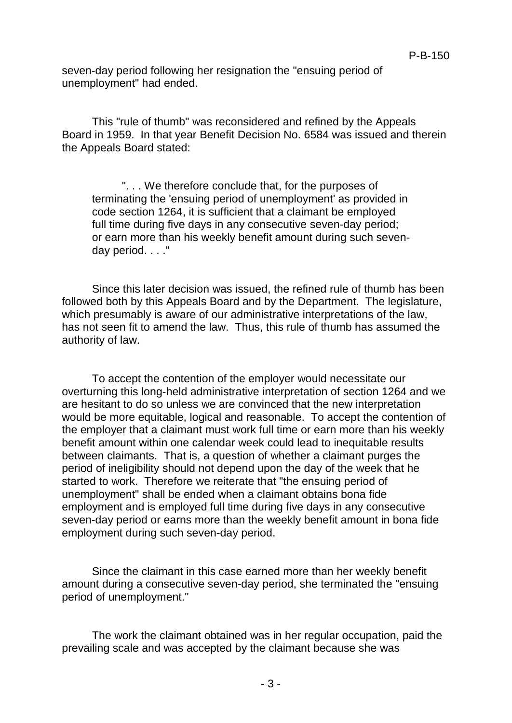seven-day period following her resignation the "ensuing period of unemployment" had ended.

This "rule of thumb" was reconsidered and refined by the Appeals Board in 1959. In that year Benefit Decision No. 6584 was issued and therein the Appeals Board stated:

". . . We therefore conclude that, for the purposes of terminating the 'ensuing period of unemployment' as provided in code section 1264, it is sufficient that a claimant be employed full time during five days in any consecutive seven-day period; or earn more than his weekly benefit amount during such sevenday period. . . ."

Since this later decision was issued, the refined rule of thumb has been followed both by this Appeals Board and by the Department. The legislature, which presumably is aware of our administrative interpretations of the law, has not seen fit to amend the law. Thus, this rule of thumb has assumed the authority of law.

To accept the contention of the employer would necessitate our overturning this long-held administrative interpretation of section 1264 and we are hesitant to do so unless we are convinced that the new interpretation would be more equitable, logical and reasonable. To accept the contention of the employer that a claimant must work full time or earn more than his weekly benefit amount within one calendar week could lead to inequitable results between claimants. That is, a question of whether a claimant purges the period of ineligibility should not depend upon the day of the week that he started to work. Therefore we reiterate that "the ensuing period of unemployment" shall be ended when a claimant obtains bona fide employment and is employed full time during five days in any consecutive seven-day period or earns more than the weekly benefit amount in bona fide employment during such seven-day period.

Since the claimant in this case earned more than her weekly benefit amount during a consecutive seven-day period, she terminated the "ensuing period of unemployment."

The work the claimant obtained was in her regular occupation, paid the prevailing scale and was accepted by the claimant because she was